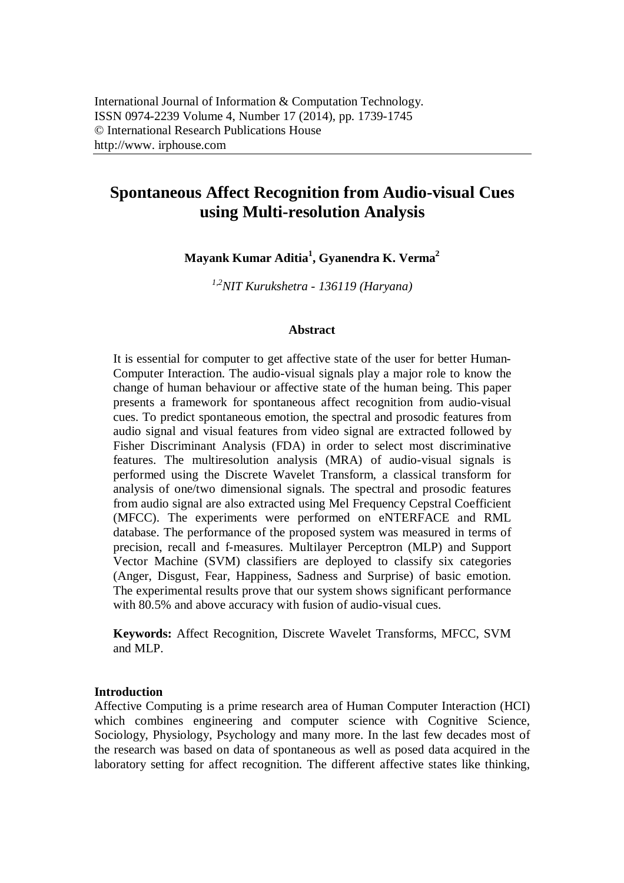# **Spontaneous Affect Recognition from Audio-visual Cues using Multi-resolution Analysis**

**Mayank Kumar Aditia<sup>1</sup> , Gyanendra K. Verma<sup>2</sup>**

*1,2NIT Kurukshetra - 136119 (Haryana)*

## **Abstract**

It is essential for computer to get affective state of the user for better Human-Computer Interaction. The audio-visual signals play a major role to know the change of human behaviour or affective state of the human being. This paper presents a framework for spontaneous affect recognition from audio-visual cues. To predict spontaneous emotion, the spectral and prosodic features from audio signal and visual features from video signal are extracted followed by Fisher Discriminant Analysis (FDA) in order to select most discriminative features. The multiresolution analysis (MRA) of audio-visual signals is performed using the Discrete Wavelet Transform, a classical transform for analysis of one/two dimensional signals. The spectral and prosodic features from audio signal are also extracted using Mel Frequency Cepstral Coefficient (MFCC). The experiments were performed on eNTERFACE and RML database. The performance of the proposed system was measured in terms of precision, recall and f-measures. Multilayer Perceptron (MLP) and Support Vector Machine (SVM) classifiers are deployed to classify six categories (Anger, Disgust, Fear, Happiness, Sadness and Surprise) of basic emotion. The experimental results prove that our system shows significant performance with 80.5% and above accuracy with fusion of audio-visual cues.

**Keywords:** Affect Recognition, Discrete Wavelet Transforms, MFCC, SVM and MLP.

## **Introduction**

Affective Computing is a prime research area of Human Computer Interaction (HCI) which combines engineering and computer science with Cognitive Science, Sociology, Physiology, Psychology and many more. In the last few decades most of the research was based on data of spontaneous as well as posed data acquired in the laboratory setting for affect recognition. The different affective states like thinking,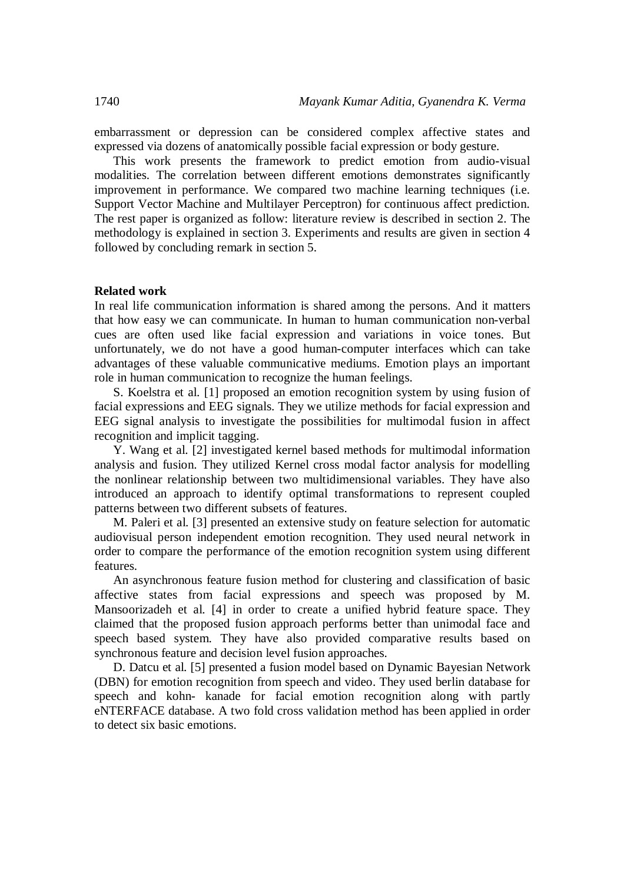embarrassment or depression can be considered complex affective states and expressed via dozens of anatomically possible facial expression or body gesture.

This work presents the framework to predict emotion from audio-visual modalities. The correlation between different emotions demonstrates significantly improvement in performance. We compared two machine learning techniques (i.e. Support Vector Machine and Multilayer Perceptron) for continuous affect prediction. The rest paper is organized as follow: literature review is described in section 2. The methodology is explained in section 3. Experiments and results are given in section 4 followed by concluding remark in section 5.

#### **Related work**

In real life communication information is shared among the persons. And it matters that how easy we can communicate. In human to human communication non-verbal cues are often used like facial expression and variations in voice tones. But unfortunately, we do not have a good human-computer interfaces which can take advantages of these valuable communicative mediums. Emotion plays an important role in human communication to recognize the human feelings.

S. Koelstra et al. [1] proposed an emotion recognition system by using fusion of facial expressions and EEG signals. They we utilize methods for facial expression and EEG signal analysis to investigate the possibilities for multimodal fusion in affect recognition and implicit tagging.

Y. Wang et al. [2] investigated kernel based methods for multimodal information analysis and fusion. They utilized Kernel cross modal factor analysis for modelling the nonlinear relationship between two multidimensional variables. They have also introduced an approach to identify optimal transformations to represent coupled patterns between two different subsets of features.

M. Paleri et al. [3] presented an extensive study on feature selection for automatic audiovisual person independent emotion recognition. They used neural network in order to compare the performance of the emotion recognition system using different features.

An asynchronous feature fusion method for clustering and classification of basic affective states from facial expressions and speech was proposed by M. Mansoorizadeh et al. [4] in order to create a unified hybrid feature space. They claimed that the proposed fusion approach performs better than unimodal face and speech based system. They have also provided comparative results based on synchronous feature and decision level fusion approaches.

D. Datcu et al. [5] presented a fusion model based on Dynamic Bayesian Network (DBN) for emotion recognition from speech and video. They used berlin database for speech and kohn- kanade for facial emotion recognition along with partly eNTERFACE database. A two fold cross validation method has been applied in order to detect six basic emotions.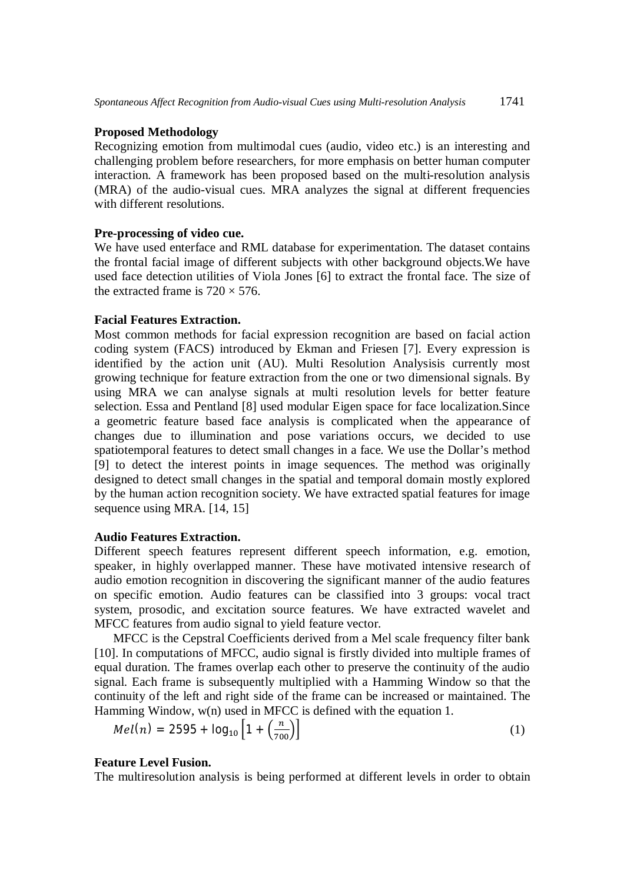## **Proposed Methodology**

Recognizing emotion from multimodal cues (audio, video etc.) is an interesting and challenging problem before researchers, for more emphasis on better human computer interaction. A framework has been proposed based on the multi-resolution analysis (MRA) of the audio-visual cues. MRA analyzes the signal at different frequencies with different resolutions.

## **Pre-processing of video cue.**

We have used enterface and RML database for experimentation. The dataset contains the frontal facial image of different subjects with other background objects.We have used face detection utilities of Viola Jones [6] to extract the frontal face. The size of the extracted frame is  $720 \times 576$ .

## **Facial Features Extraction.**

Most common methods for facial expression recognition are based on facial action coding system (FACS) introduced by Ekman and Friesen [7]. Every expression is identified by the action unit (AU). Multi Resolution Analysisis currently most growing technique for feature extraction from the one or two dimensional signals. By using MRA we can analyse signals at multi resolution levels for better feature selection. Essa and Pentland [8] used modular Eigen space for face localization.Since a geometric feature based face analysis is complicated when the appearance of changes due to illumination and pose variations occurs, we decided to use spatiotemporal features to detect small changes in a face. We use the Dollar's method [9] to detect the interest points in image sequences. The method was originally designed to detect small changes in the spatial and temporal domain mostly explored by the human action recognition society. We have extracted spatial features for image sequence using MRA. [14, 15]

## **Audio Features Extraction.**

Different speech features represent different speech information, e.g. emotion, speaker, in highly overlapped manner. These have motivated intensive research of audio emotion recognition in discovering the significant manner of the audio features on specific emotion. Audio features can be classified into 3 groups: vocal tract system, prosodic, and excitation source features. We have extracted wavelet and MFCC features from audio signal to yield feature vector.

MFCC is the Cepstral Coefficients derived from a Mel scale frequency filter bank [10]. In computations of MFCC, audio signal is firstly divided into multiple frames of equal duration. The frames overlap each other to preserve the continuity of the audio signal. Each frame is subsequently multiplied with a Hamming Window so that the continuity of the left and right side of the frame can be increased or maintained. The Hamming Window, w(n) used in MFCC is defined with the equation 1.

$$
Mel(n) = 2595 + log_{10} \left[ 1 + \left( \frac{n}{700} \right) \right]
$$
 (1)

#### **Feature Level Fusion.**

The multiresolution analysis is being performed at different levels in order to obtain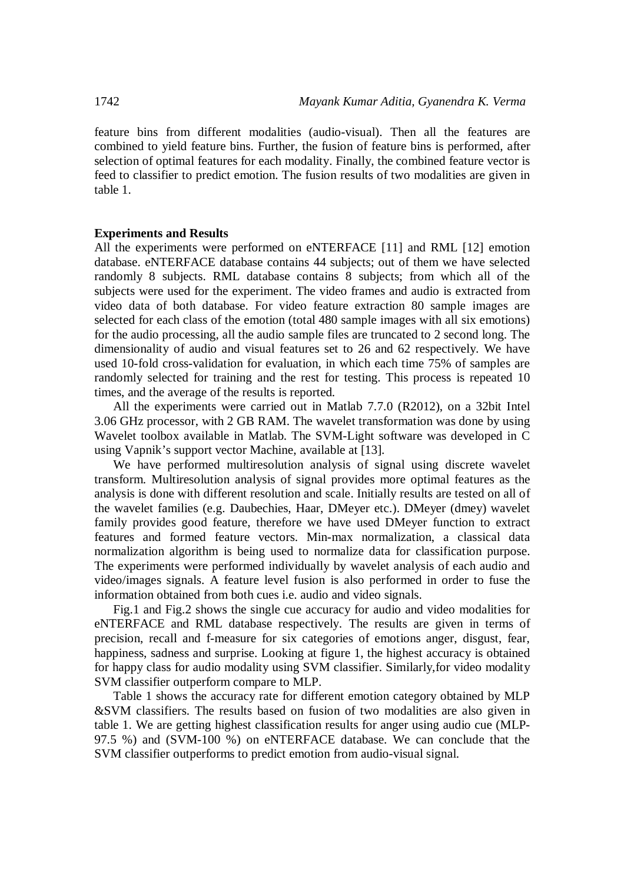feature bins from different modalities (audio-visual). Then all the features are combined to yield feature bins. Further, the fusion of feature bins is performed, after selection of optimal features for each modality. Finally, the combined feature vector is feed to classifier to predict emotion. The fusion results of two modalities are given in table 1.

#### **Experiments and Results**

All the experiments were performed on eNTERFACE [11] and RML [12] emotion database. eNTERFACE database contains 44 subjects; out of them we have selected randomly 8 subjects. RML database contains 8 subjects; from which all of the subjects were used for the experiment. The video frames and audio is extracted from video data of both database. For video feature extraction 80 sample images are selected for each class of the emotion (total 480 sample images with all six emotions) for the audio processing, all the audio sample files are truncated to 2 second long. The dimensionality of audio and visual features set to 26 and 62 respectively. We have used 10-fold cross-validation for evaluation, in which each time 75% of samples are randomly selected for training and the rest for testing. This process is repeated 10 times, and the average of the results is reported.

All the experiments were carried out in Matlab 7.7.0 (R2012), on a 32bit Intel 3.06 GHz processor, with 2 GB RAM. The wavelet transformation was done by using Wavelet toolbox available in Matlab. The SVM-Light software was developed in C using Vapnik's support vector Machine, available at [13].

We have performed multiresolution analysis of signal using discrete wavelet transform. Multiresolution analysis of signal provides more optimal features as the analysis is done with different resolution and scale. Initially results are tested on all of the wavelet families (e.g. Daubechies, Haar, DMeyer etc.). DMeyer (dmey) wavelet family provides good feature, therefore we have used DMeyer function to extract features and formed feature vectors. Min-max normalization, a classical data normalization algorithm is being used to normalize data for classification purpose. The experiments were performed individually by wavelet analysis of each audio and video/images signals. A feature level fusion is also performed in order to fuse the information obtained from both cues i.e. audio and video signals.

Fig.1 and Fig.2 shows the single cue accuracy for audio and video modalities for eNTERFACE and RML database respectively. The results are given in terms of precision, recall and f-measure for six categories of emotions anger, disgust, fear, happiness, sadness and surprise. Looking at figure 1, the highest accuracy is obtained for happy class for audio modality using SVM classifier. Similarly,for video modality SVM classifier outperform compare to MLP.

Table 1 shows the accuracy rate for different emotion category obtained by MLP &SVM classifiers. The results based on fusion of two modalities are also given in table 1. We are getting highest classification results for anger using audio cue (MLP-97.5 %) and (SVM-100 %) on eNTERFACE database. We can conclude that the SVM classifier outperforms to predict emotion from audio-visual signal.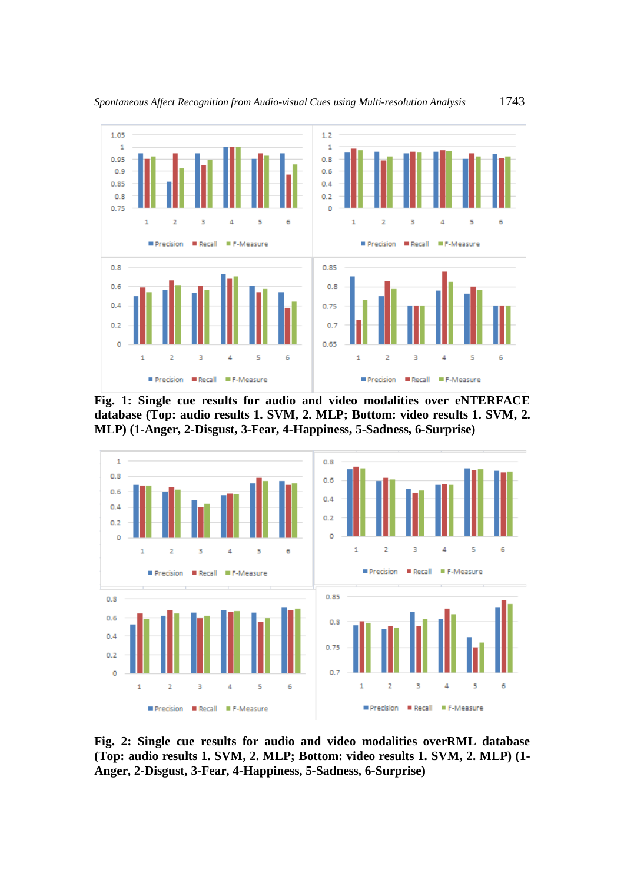

**Fig. 1: Single cue results for audio and video modalities over eNTERFACE database (Top: audio results 1. SVM, 2. MLP; Bottom: video results 1. SVM, 2. MLP) (1-Anger, 2-Disgust, 3-Fear, 4-Happiness, 5-Sadness, 6-Surprise)**



**Fig. 2: Single cue results for audio and video modalities overRML database (Top: audio results 1. SVM, 2. MLP; Bottom: video results 1. SVM, 2. MLP) (1- Anger, 2-Disgust, 3-Fear, 4-Happiness, 5-Sadness, 6-Surprise)**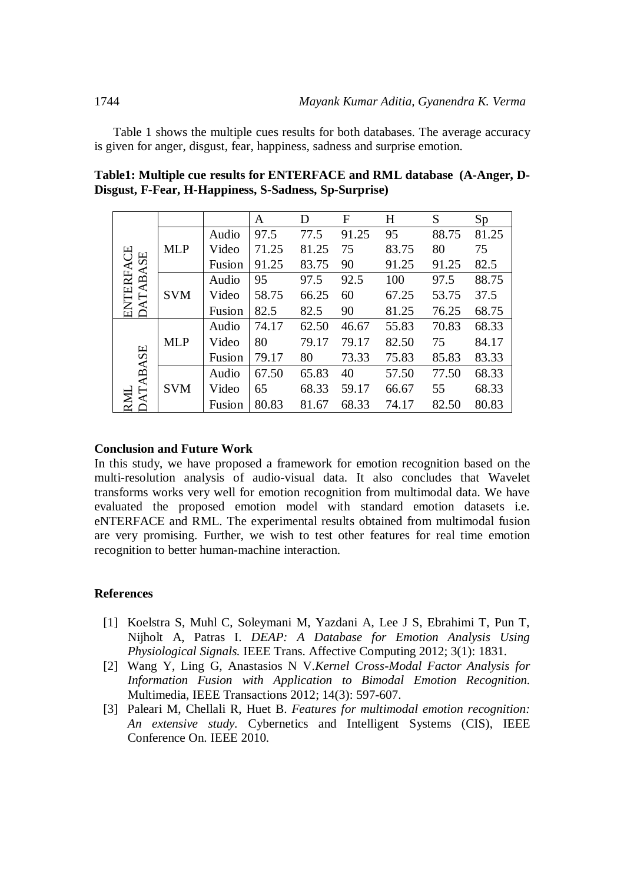Table 1 shows the multiple cues results for both databases. The average accuracy is given for anger, disgust, fear, happiness, sadness and surprise emotion.

|                           |            |        | A     | D     | F     | H     | S     | Sp    |
|---------------------------|------------|--------|-------|-------|-------|-------|-------|-------|
| <b>ATABASE</b><br>ENTERFA | <b>MLP</b> | Audio  | 97.5  | 77.5  | 91.25 | 95    | 88.75 | 81.25 |
|                           |            | Video  | 71.25 | 81.25 | 75    | 83.75 | 80    | 75    |
|                           |            | Fusion | 91.25 | 83.75 | 90    | 91.25 | 91.25 | 82.5  |
|                           | <b>SVM</b> | Audio  | 95    | 97.5  | 92.5  | 100   | 97.5  | 88.75 |
|                           |            | Video  | 58.75 | 66.25 | 60    | 67.25 | 53.75 | 37.5  |
|                           |            | Fusion | 82.5  | 82.5  | 90    | 81.25 | 76.25 | 68.75 |
| <b>ATABASE</b><br>RM      | <b>MLP</b> | Audio  | 74.17 | 62.50 | 46.67 | 55.83 | 70.83 | 68.33 |
|                           |            | Video  | 80    | 79.17 | 79.17 | 82.50 | 75    | 84.17 |
|                           |            | Fusion | 79.17 | 80    | 73.33 | 75.83 | 85.83 | 83.33 |
|                           | <b>SVM</b> | Audio  | 67.50 | 65.83 | 40    | 57.50 | 77.50 | 68.33 |
|                           |            | Video  | 65    | 68.33 | 59.17 | 66.67 | 55    | 68.33 |
|                           |            | Fusion | 80.83 | 81.67 | 68.33 | 74.17 | 82.50 | 80.83 |

**Table1: Multiple cue results for ENTERFACE and RML database (A-Anger, D-Disgust, F-Fear, H-Happiness, S-Sadness, Sp-Surprise)**

## **Conclusion and Future Work**

In this study, we have proposed a framework for emotion recognition based on the multi-resolution analysis of audio-visual data. It also concludes that Wavelet transforms works very well for emotion recognition from multimodal data. We have evaluated the proposed emotion model with standard emotion datasets i.e. eNTERFACE and RML. The experimental results obtained from multimodal fusion are very promising. Further, we wish to test other features for real time emotion recognition to better human-machine interaction.

# **References**

- [1] Koelstra S, Muhl C, Soleymani M, Yazdani A, Lee J S, Ebrahimi T, Pun T, Nijholt A, Patras I. *DEAP: A Database for Emotion Analysis Using Physiological Signals.* IEEE Trans. Affective Computing 2012; 3(1): 1831.
- [2] Wang Y, Ling G, Anastasios N V.*Kernel Cross-Modal Factor Analysis for Information Fusion with Application to Bimodal Emotion Recognition.* Multimedia, IEEE Transactions 2012; 14(3): 597-607.
- [3] Paleari M, Chellali R, Huet B. *Features for multimodal emotion recognition: An extensive study.* Cybernetics and Intelligent Systems (CIS), IEEE Conference On. IEEE 2010.